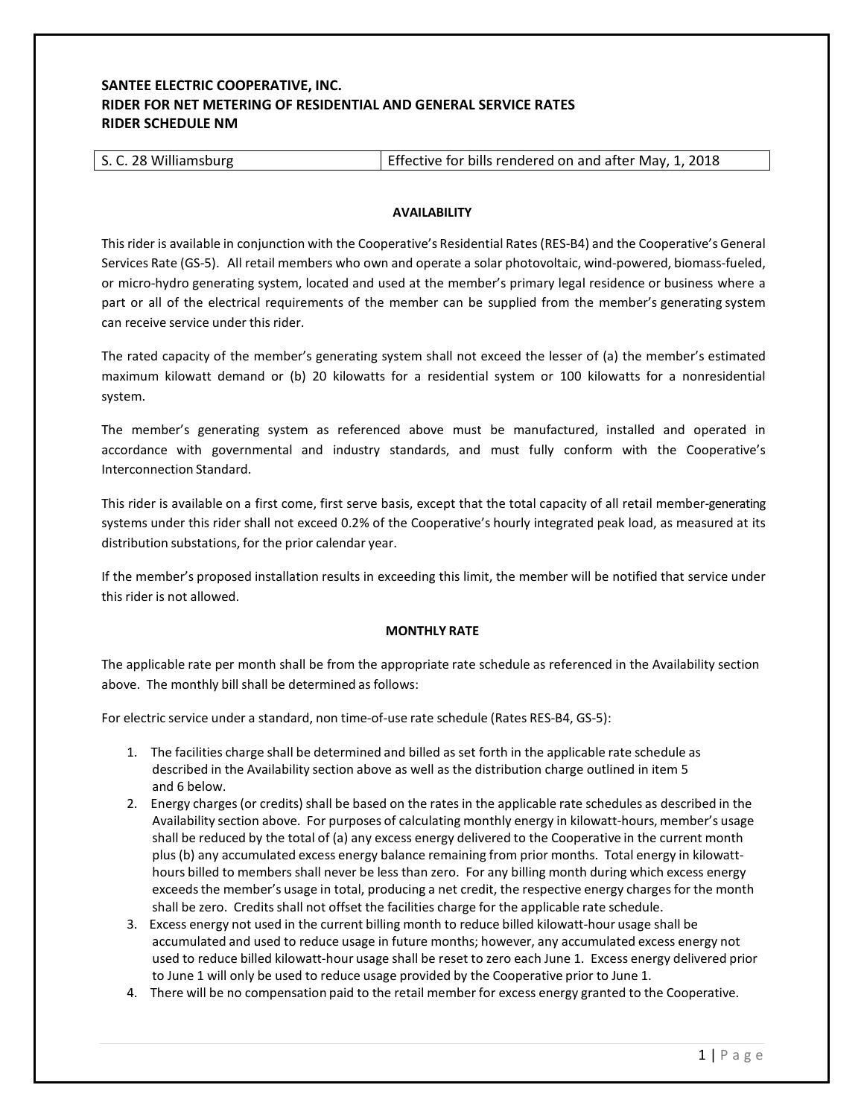# **SANTEE ELECTRIC COOPERATIVE, INC. RIDER FOR NET METERING OF RESIDENTIAL AND GENERAL SERVICE RATES RIDER SCHEDULE NM**

| S. C. 28 Williamsburg | Effective for bills rendered on and after May, 1, 2018 |
|-----------------------|--------------------------------------------------------|
|-----------------------|--------------------------------------------------------|

### **AVAILABILITY**

This rider is available in conjunction with the Cooperative's Residential Rates (RES‐B4) and the Cooperative's General Services Rate (GS-5). All retail members who own and operate a solar photovoltaic, wind-powered, biomass-fueled, or micro‐hydro generating system, located and used at the member's primary legal residence or business where a part or all of the electrical requirements of the member can be supplied from the member's generating system can receive service under this rider.

The rated capacity of the member's generating system shall not exceed the lesser of (a) the member's estimated maximum kilowatt demand or (b) 20 kilowatts for a residential system or 100 kilowatts for a nonresidential system.

The member's generating system as referenced above must be manufactured, installed and operated in accordance with governmental and industry standards, and must fully conform with the Cooperative's Interconnection Standard.

This rider is available on a first come, first serve basis, except that the total capacity of all retail member‐generating systems under this rider shall not exceed 0.2% of the Cooperative's hourly integrated peak load, as measured at its distribution substations, for the prior calendar year.

If the member's proposed installation results in exceeding this limit, the member will be notified that service under this rider is not allowed.

# **MONTHLY RATE**

The applicable rate per month shall be from the appropriate rate schedule as referenced in the Availability section above. The monthly bill shall be determined as follows:

For electric service under a standard, non time‐of‐use rate schedule (Rates RES‐B4, GS‐5):

- 1. The facilities charge shall be determined and billed as set forth in the applicable rate schedule as described in the Availability section above as well as the distribution charge outlined in item 5 and 6 below.
- 2. Energy charges (or credits) shall be based on the rates in the applicable rate schedules as described in the Availability section above. For purposes of calculating monthly energy in kilowatt-hours, member's usage shall be reduced by the total of (a) any excess energy delivered to the Cooperative in the current month plus (b) any accumulated excess energy balance remaining from prior months. Total energy in kilowatt‐ hours billed to members shall never be less than zero. For any billing month during which excess energy exceeds the member's usage in total, producing a net credit, the respective energy charges for the month shall be zero. Credits shall not offset the facilities charge for the applicable rate schedule.
- 3. Excess energy not used in the current billing month to reduce billed kilowatt-hour usage shall be accumulated and used to reduce usage in future months; however, any accumulated excess energy not used to reduce billed kilowatt-hour usage shall be reset to zero each June 1. Excess energy delivered prior to June 1 will only be used to reduce usage provided by the Cooperative prior to June 1.
- 4.There will be no compensation paid to the retail member for excess energy granted to the Cooperative.